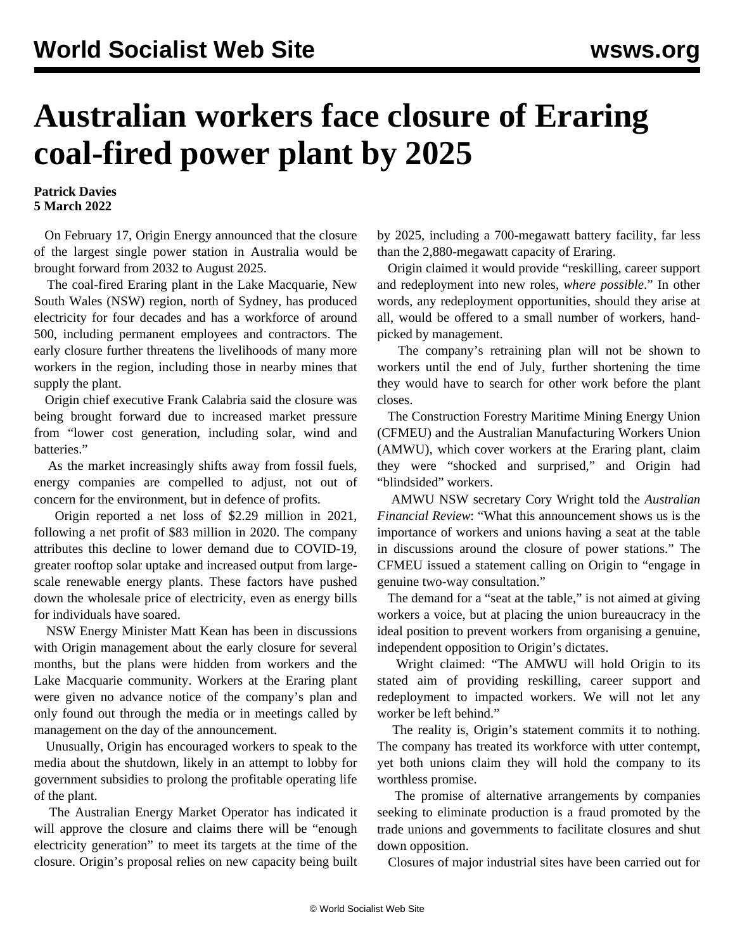## **Australian workers face closure of Eraring coal-fired power plant by 2025**

## **Patrick Davies 5 March 2022**

 On February 17, Origin Energy announced that the closure of the largest single power station in Australia would be brought forward from 2032 to August 2025.

 The coal-fired Eraring plant in the Lake Macquarie, New South Wales (NSW) region, north of Sydney, has produced electricity for four decades and has a workforce of around 500, including permanent employees and contractors. The early closure further threatens the livelihoods of many more workers in the region, including those in nearby mines that supply the plant.

 Origin chief executive Frank Calabria said the closure was being brought forward due to increased market pressure from "lower cost generation, including solar, wind and batteries."

 As the market increasingly shifts away from fossil fuels, energy companies are compelled to adjust, not out of concern for the environment, but in defence of profits.

 Origin reported a net loss of \$2.29 million in 2021, following a net profit of \$83 million in 2020. The company attributes this decline to lower demand due to COVID-19, greater rooftop solar uptake and increased output from largescale renewable energy plants. These factors have pushed down the wholesale price of electricity, even as energy bills for individuals have soared.

 NSW Energy Minister Matt Kean has been in discussions with Origin management about the early closure for several months, but the plans were hidden from workers and the Lake Macquarie community. Workers at the Eraring plant were given no advance notice of the company's plan and only found out through the media or in meetings called by management on the day of the announcement.

 Unusually, Origin has encouraged workers to speak to the media about the shutdown, likely in an attempt to lobby for government subsidies to prolong the profitable operating life of the plant.

 The Australian Energy Market Operator has indicated it will approve the closure and claims there will be "enough electricity generation" to meet its targets at the time of the closure. Origin's proposal relies on new capacity being built

by 2025, including a 700-megawatt battery facility, far less than the 2,880-megawatt capacity of Eraring.

 Origin claimed it would provide "reskilling, career support and redeployment into new roles, *where possible*." In other words, any redeployment opportunities, should they arise at all, would be offered to a small number of workers, handpicked by management.

 The company's retraining plan will not be shown to workers until the end of July, further shortening the time they would have to search for other work before the plant closes.

 The Construction Forestry Maritime Mining Energy Union (CFMEU) and the Australian Manufacturing Workers Union (AMWU), which cover workers at the Eraring plant, claim they were "shocked and surprised," and Origin had "blindsided" workers.

 AMWU NSW secretary Cory Wright told the *Australian Financial Review*: "What this announcement shows us is the importance of workers and unions having a seat at the table in discussions around the closure of power stations." The CFMEU issued a statement calling on Origin to "engage in genuine two-way consultation."

 The demand for a "seat at the table," is not aimed at giving workers a voice, but at placing the union bureaucracy in the ideal position to prevent workers from organising a genuine, independent opposition to Origin's dictates.

 Wright claimed: "The AMWU will hold Origin to its stated aim of providing reskilling, career support and redeployment to impacted workers. We will not let any worker be left behind."

 The reality is, Origin's statement commits it to nothing. The company has treated its workforce with utter contempt, yet both unions claim they will hold the company to its worthless promise.

 The promise of alternative arrangements by companies seeking to eliminate production is a fraud promoted by the trade unions and governments to facilitate closures and shut down opposition.

Closures of major industrial sites have been carried out for